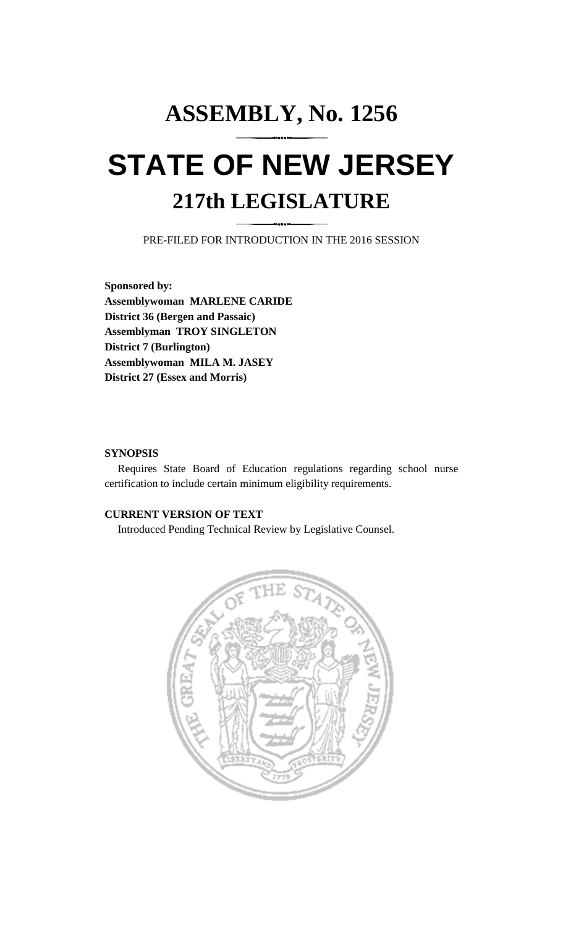# **ASSEMBLY, No. 1256 STATE OF NEW JERSEY 217th LEGISLATURE**

PRE-FILED FOR INTRODUCTION IN THE 2016 SESSION

**Sponsored by: Assemblywoman MARLENE CARIDE District 36 (Bergen and Passaic) Assemblyman TROY SINGLETON District 7 (Burlington) Assemblywoman MILA M. JASEY District 27 (Essex and Morris)**

### **SYNOPSIS**

Requires State Board of Education regulations regarding school nurse certification to include certain minimum eligibility requirements.

## **CURRENT VERSION OF TEXT**

Introduced Pending Technical Review by Legislative Counsel.

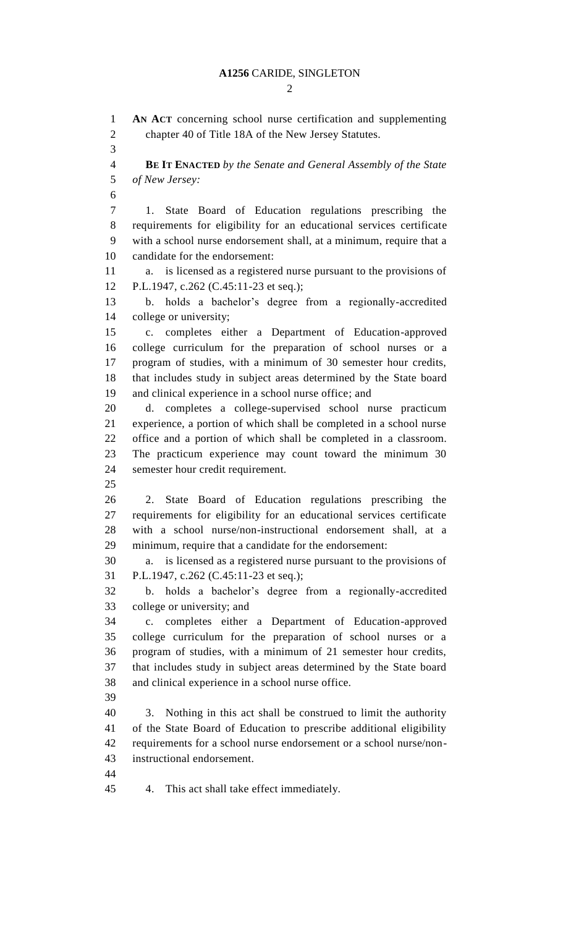#### **A1256** CARIDE, SINGLETON

 $\mathcal{D}_{\mathcal{L}}$ 

 **AN ACT** concerning school nurse certification and supplementing chapter 40 of Title 18A of the New Jersey Statutes. **BE IT ENACTED** *by the Senate and General Assembly of the State of New Jersey:* 1. State Board of Education regulations prescribing the requirements for eligibility for an educational services certificate with a school nurse endorsement shall, at a minimum, require that a candidate for the endorsement: a. is licensed as a registered nurse pursuant to the provisions of P.L.1947, c.262 (C.45:11-23 et seq.); b. holds a bachelor's degree from a regionally-accredited college or university; c. completes either a Department of Education-approved college curriculum for the preparation of school nurses or a program of studies, with a minimum of 30 semester hour credits, that includes study in subject areas determined by the State board and clinical experience in a school nurse office; and d. completes a college-supervised school nurse practicum experience, a portion of which shall be completed in a school nurse office and a portion of which shall be completed in a classroom. The practicum experience may count toward the minimum 30 semester hour credit requirement. 2. State Board of Education regulations prescribing the requirements for eligibility for an educational services certificate with a school nurse/non-instructional endorsement shall, at a minimum, require that a candidate for the endorsement: a. is licensed as a registered nurse pursuant to the provisions of P.L.1947, c.262 (C.45:11-23 et seq.); b. holds a bachelor's degree from a regionally-accredited college or university; and c. completes either a Department of Education-approved college curriculum for the preparation of school nurses or a program of studies, with a minimum of 21 semester hour credits, that includes study in subject areas determined by the State board and clinical experience in a school nurse office. 3. Nothing in this act shall be construed to limit the authority of the State Board of Education to prescribe additional eligibility requirements for a school nurse endorsement or a school nurse/non- instructional endorsement. 4. This act shall take effect immediately.